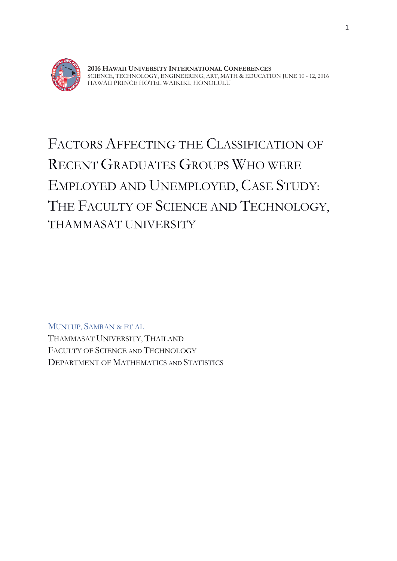

**2016 HAWAII UNIVERSITY INTERNATIONAL CONFERENCES** SCIENCE, TECHNOLOGY, ENGINEERING, ART, MATH & EDUCATION JUNE 10 - 12, 2016 HAWAII PRINCE HOTEL WAIKIKI, HONOLULU

# FACTORS AFFECTING THE CLASSIFICATION OF RECENT GRADUATES GROUPS WHO WERE EMPLOYED AND UNEMPLOYED, CASE STUDY: THE FACULTY OF SCIENCE AND TECHNOLOGY, THAMMASAT UNIVERSITY

MUNTUP, SAMRAN & ET AL THAMMASAT UNIVERSITY, THAILAND FACULTY OF SCIENCE AND TECHNOLOGY DEPARTMENT OF MATHEMATICS AND STATISTICS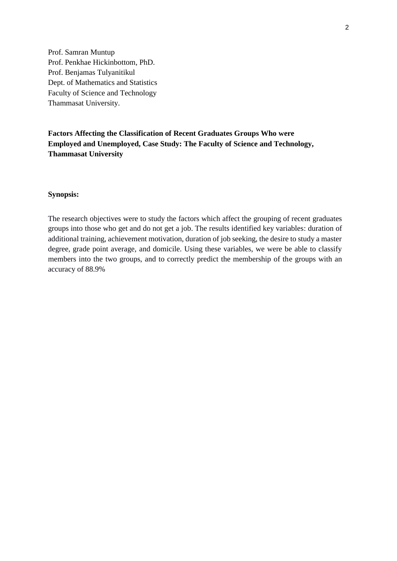Prof. Samran Muntup Prof. Penkhae Hickinbottom, PhD. Prof. Benjamas Tulyanitikul Dept. of Mathematics and Statistics Faculty of Science and Technology Thammasat University.

# **Factors Affecting the Classification of Recent Graduates Groups Who were Employed and Unemployed, Case Study: The Faculty of Science and Technology, Thammasat University**

#### **Synopsis:**

The research objectives were to study the factors which affect the grouping of recent graduates groups into those who get and do not get a job. The results identified key variables: duration of additional training, achievement motivation, duration of job seeking, the desire to study a master degree, grade point average, and domicile. Using these variables, we were be able to classify members into the two groups, and to correctly predict the membership of the groups with an accuracy of 88.9%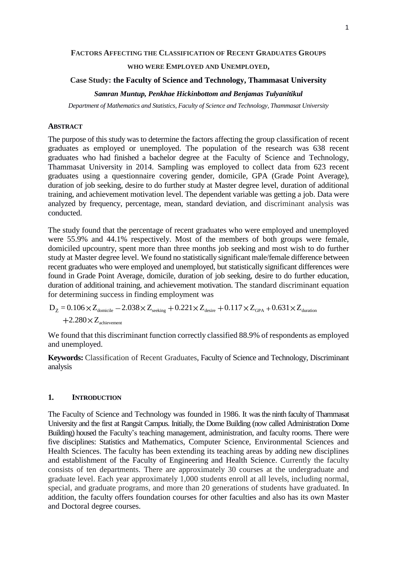# **WHO WERE EMPLOYED AND UNEMPLOYED,**

# **Case Study: the Faculty of Science and Technology, Thammasat University** *Samran Muntup, Penkhae Hickinbottom and Benjamas Tulyanitikul*

*Department of Mathematics and Statistics, Faculty of Science and Technology, Thammasat University*

#### **ABSTRACT**

The purpose of this study was to determine the factors affecting the group classification of recent graduates as employed or unemployed. The population of the research was 638 recent graduates who had finished a bachelor degree at the Faculty of Science and Technology, Thammasat University in 2014. Sampling was employed to collect data from 623 recent graduates using a questionnaire covering gender, domicile, GPA (Grade Point Average), duration of job seeking, desire to do further study at Master degree level, duration of additional training, and achievement motivation level. The dependent variable was getting a job. Data were analyzed by frequency, percentage, mean, standard deviation, and discriminant analysis was conducted.

The study found that the percentage of recent graduates who were employed and unemployed were 55.9% and 44.1% respectively. Most of the members of both groups were female, domiciled upcountry, spent more than three months job seeking and most wish to do further study at Master degree level. We found no statistically significant male/female difference between recent graduates who were employed and unemployed, but statistically significant differences were found in Grade Point Average, domicile, duration of job seeking, desire to do further education, duration of additional training, and achievement motivation. The standard discriminant equation for determining success in finding employment was

 $\rm D_Z$  =  $\rm 0.106\!\times\!Z_{donicile}$   $-2.038\!\times\!Z_{\rm seeking}$   $+0.221\!\times\!Z_{\rm desire}$   $+0.117\!\times\!Z_{\rm GPA}$  +  $0.631\!\times\!Z_{\rm duration}$  $2.280\times Z_{\text{achievement}}$ 

We found that this discriminant function correctly classified 88.9% of respondents as employed and unemployed.

**Keywords:** Classification of Recent Graduates, Faculty of Science and Technology, Discriminant analysis

# **1. INTRODUCTION**

The Faculty of Science and Technology was founded in 1986. It was the ninth faculty of Thammasat University and the first at Rangsit Campus. Initially, the Dome Building (now called Administration Dome Building) housed the Faculty's teaching management, administration, and faculty rooms. There were five disciplines: Statistics and Mathematics, Computer Science, Environmental Sciences and Health Sciences. The faculty has been extending its teaching areas by adding new disciplines and establishment of the Faculty of Engineering and Health Science. Currently the faculty consists of ten departments. There are approximately 30 courses at the undergraduate and graduate level. Each year approximately 1,000 students enroll at all levels, including normal, special, and graduate programs, and more than 20 generations of students have graduated. In addition, the faculty offers foundation courses for other faculties and also has its own Master and Doctoral degree courses.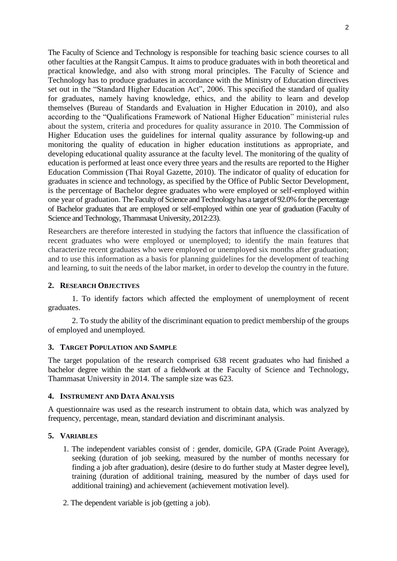The Faculty of Science and Technology is responsible for teaching basic science courses to all other faculties at the Rangsit Campus. It aims to produce graduates with in both theoretical and practical knowledge, and also with strong moral principles. The Faculty of Science and Technology has to produce graduates in accordance with the Ministry of Education directives set out in the "Standard Higher Education Act", 2006. This specified the standard of quality for graduates, namely having knowledge, ethics, and the ability to learn and develop themselves (Bureau of Standards and Evaluation in Higher Education in 2010), and also according to the "Qualifications Framework of National Higher Education" ministerial rules about the system, criteria and procedures for quality assurance in 2010. The Commission of Higher Education uses the guidelines for internal quality assurance by following-up and monitoring the quality of education in higher education institutions as appropriate, and developing educational quality assurance at the faculty level. The monitoring of the quality of education is performed at least once every three years and the results are reported to the Higher Education Commission (Thai Royal Gazette, 2010). The indicator of quality of education for graduates in science and technology, as specified by the Office of Public Sector Development, is the percentage of Bachelor degree graduates who were employed or self-employed within one year of graduation. The Faculty of Science and Technology has a target of 92.0% for the percentage of Bachelor graduates that are employed or self-employed within one year of graduation (Faculty of Science and Technology, Thammasat University, 2012:23).

Researchers are therefore interested in studying the factors that influence the classification of recent graduates who were employed or unemployed; to identify the main features that characterize recent graduates who were employed or unemployed six months after graduation; and to use this information as a basis for planning guidelines for the development of teaching and learning, to suit the needs of the labor market, in order to develop the country in the future.

# **2. RESEARCH OBJECTIVES**

1. To identify factors which affected the employment of unemployment of recent graduates.

2. To study the ability of the discriminant equation to predict membership of the groups of employed and unemployed.

# **3. TARGET POPULATION AND SAMPLE**

The target population of the research comprised 638 recent graduates who had finished a bachelor degree within the start of a fieldwork at the Faculty of Science and Technology, Thammasat University in 2014. The sample size was 623.

# **4. INSTRUMENT AND DATA ANALYSIS**

A questionnaire was used as the research instrument to obtain data, which was analyzed by frequency, percentage, mean, standard deviation and discriminant analysis.

# **5. VARIABLES**

- 1. The independent variables consist of : gender, domicile, GPA (Grade Point Average), seeking (duration of job seeking, measured by the number of months necessary for finding a job after graduation), desire (desire to do further study at Master degree level), training (duration of additional training, measured by the number of days used for additional training) and achievement (achievement motivation level).
- 2. The dependent variable is job (getting a job).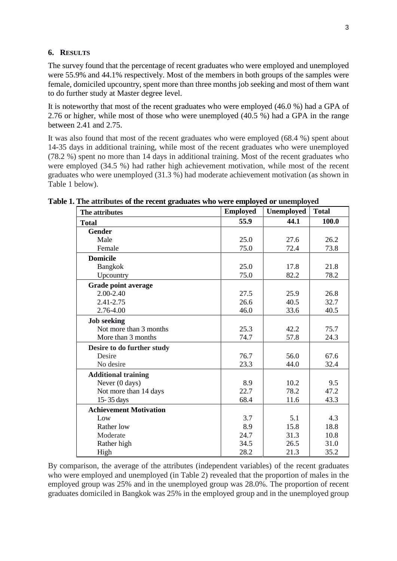#### **6. RESULTS**

The survey found that the percentage of recent graduates who were employed and unemployed were 55.9% and 44.1% respectively. Most of the members in both groups of the samples were female, domiciled upcountry, spent more than three months job seeking and most of them want to do further study at Master degree level.

It is noteworthy that most of the recent graduates who were employed (46.0 %) had a GPA of 2.76 or higher, while most of those who were unemployed (40.5 %) had a GPA in the range between 2.41 and 2.75.

It was also found that most of the recent graduates who were employed (68.4 %) spent about 14-35 days in additional training, while most of the recent graduates who were unemployed (78.2 %) spent no more than 14 days in additional training. Most of the recent graduates who were employed (34.5 %) had rather high achievement motivation, while most of the recent graduates who were unemployed (31.3 %) had moderate achievement motivation (as shown in Table 1 below).

| The attributes                | <b>Employed</b> | Unemployed | <b>Total</b> |
|-------------------------------|-----------------|------------|--------------|
| <b>Total</b>                  | 55.9            | 44.1       | 100.0        |
| <b>Gender</b>                 |                 |            |              |
| Male                          | 25.0            | 27.6       | 26.2         |
| Female                        | 75.0            | 72.4       | 73.8         |
| <b>Domicile</b>               |                 |            |              |
| <b>Bangkok</b>                | 25.0            | 17.8       | 21.8         |
| Upcountry                     | 75.0            | 82.2       | 78.2         |
| Grade point average           |                 |            |              |
| 2.00-2.40                     | 27.5            | 25.9       | 26.8         |
| 2.41-2.75                     | 26.6            | 40.5       | 32.7         |
| 2.76-4.00                     | 46.0            | 33.6       | 40.5         |
| <b>Job</b> seeking            |                 |            |              |
| Not more than 3 months        | 25.3            | 42.2       | 75.7         |
| More than 3 months            | 74.7            | 57.8       | 24.3         |
| Desire to do further study    |                 |            |              |
| Desire                        | 76.7            | 56.0       | 67.6         |
| No desire                     | 23.3            | 44.0       | 32.4         |
| <b>Additional training</b>    |                 |            |              |
| Never (0 days)                | 8.9             | 10.2       | 9.5          |
| Not more than 14 days         | 22.7            | 78.2       | 47.2         |
| 15-35 days                    | 68.4            | 11.6       | 43.3         |
| <b>Achievement Motivation</b> |                 |            |              |
| Low                           | 3.7             | 5.1        | 4.3          |
| Rather low                    | 8.9             | 15.8       | 18.8         |
| Moderate                      | 24.7            | 31.3       | 10.8         |
| Rather high                   | 34.5            | 26.5       | 31.0         |
| High                          | 28.2            | 21.3       | 35.2         |

**Table 1. The attributes of the recent graduates who were employed or unemployed**

By comparison, the average of the attributes (independent variables) of the recent graduates who were employed and unemployed (in Table 2) revealed that the proportion of males in the employed group was 25% and in the unemployed group was 28.0%. The proportion of recent graduates domiciled in Bangkok was 25% in the employed group and in the unemployed group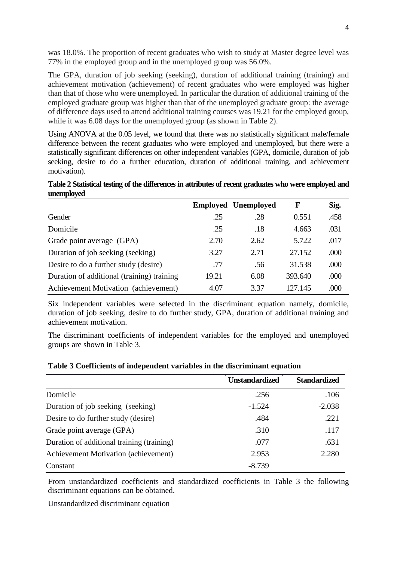was 18.0%. The proportion of recent graduates who wish to study at Master degree level was 77% in the employed group and in the unemployed group was 56.0%.

The GPA, duration of job seeking (seeking), duration of additional training (training) and achievement motivation (achievement) of recent graduates who were employed was higher than that of those who were unemployed. In particular the duration of additional training of the employed graduate group was higher than that of the unemployed graduate group: the average of difference days used to attend additional training courses was 19.21 for the employed group, while it was 6.08 days for the unemployed group (as shown in Table 2).

Using ANOVA at the 0.05 level, we found that there was no statistically significant male/female difference between the recent graduates who were employed and unemployed, but there were a statistically significant differences on other independent variables (GPA, domicile, duration of job seeking, desire to do a further education, duration of additional training, and achievement motivation).

**Table 2 Statistical testing of the differences in attributes of recent graduates who were employed and unemployed**

|                                            |       | <b>Employed Unemployed</b> | $\mathbf F$ | Sig. |
|--------------------------------------------|-------|----------------------------|-------------|------|
| Gender                                     | .25   | .28                        | 0.551       | .458 |
| Domicile                                   | .25   | .18                        | 4.663       | .031 |
| Grade point average (GPA)                  | 2.70  | 2.62                       | 5.722       | .017 |
| Duration of job seeking (seeking)          | 3.27  | 2.71                       | 27.152      | .000 |
| Desire to do a further study (desire)      | .77   | .56                        | 31.538      | .000 |
| Duration of additional (training) training | 19.21 | 6.08                       | 393.640     | .000 |
| Achievement Motivation (achievement)       | 4.07  | 3.37                       | 127.145     | .000 |

Six independent variables were selected in the discriminant equation namely, domicile, duration of job seeking, desire to do further study, GPA, duration of additional training and achievement motivation.

The discriminant coefficients of independent variables for the employed and unemployed groups are shown in Table 3.

|                                             | <b>Unstandardized</b> | <b>Standardized</b> |
|---------------------------------------------|-----------------------|---------------------|
| Domicile                                    | .256                  | .106                |
| Duration of job seeking (seeking)           | $-1.524$              | $-2.038$            |
| Desire to do further study (desire)         | .484                  | .221                |
| Grade point average (GPA)                   | .310                  | .117                |
| Duration of additional training (training)  | .077                  | .631                |
| <b>Achievement Motivation (achievement)</b> | 2.953                 | 2.280               |
| Constant                                    | $-8.739$              |                     |

**Table 3 Coefficients of independent variables in the discriminant equation**

From unstandardized coefficients and standardized coefficients in Table 3 the following discriminant equations can be obtained.

Unstandardized discriminant equation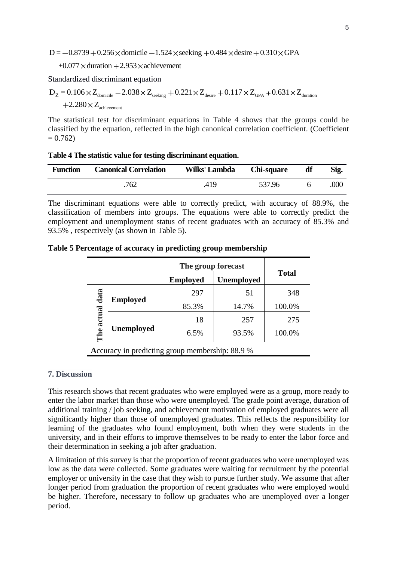$D = -0.8739 + 0.256 \times$  domicile  $-1.524 \times$  seeking  $+0.484 \times$  desire  $+0.310 \times$  GPA

 $+0.077 \times$  duration  $+2.953 \times$  achievement

Standardized discriminant equation

 $\rm D_Z$  =  $\rm 0.106\!\times\!Z_{donicile}$   $-2.038\!\times\!Z_{\rm seeking}$   $+0.221\!\times\!Z_{\rm desire}$   $+0.117\!\times\!Z_{\rm GPA}$  +  $0.631\!\times\!Z_{\rm duration}$  $2.280 \times Z_{\rm achievement}$ 

The statistical test for discriminant equations in Table 4 shows that the groups could be classified by the equation, reflected in the high canonical correlation coefficient. (Coefficient  $= 0.762$ 

|  |  |  | Table 4 The statistic value for testing discriminant equation. |
|--|--|--|----------------------------------------------------------------|
|  |  |  |                                                                |

| <b>Function</b> | <b>Canonical Correlation</b> | Wilks' Lambda Chi-square |        | df | Sig. |
|-----------------|------------------------------|--------------------------|--------|----|------|
|                 | 762                          | .419                     | 537.96 |    | .000 |

The discriminant equations were able to correctly predict, with accuracy of 88.9%, the classification of members into groups. The equations were able to correctly predict the employment and unemployment status of recent graduates with an accuracy of 85.3% and 93.5% , respectively (as shown in Table 5).

|                                                 |                   | The group forecast |                   |              |  |
|-------------------------------------------------|-------------------|--------------------|-------------------|--------------|--|
|                                                 |                   | <b>Employed</b>    | <b>Unemployed</b> | <b>Total</b> |  |
| data                                            |                   | 297                | 51                | 348          |  |
| <b>Employed</b>                                 | 85.3%             | 14.7%              | 100.0%            |              |  |
| actual                                          |                   | 18                 | 257               | 275          |  |
| he                                              | <b>Unemployed</b> | 6.5%               | 93.5%             | 100.0%       |  |
| Accuracy in predicting group membership: 88.9 % |                   |                    |                   |              |  |

#### **7. Discussion**

This research shows that recent graduates who were employed were as a group, more ready to enter the labor market than those who were unemployed. The grade point average, duration of additional training / job seeking, and achievement motivation of employed graduates were all significantly higher than those of unemployed graduates. This reflects the responsibility for learning of the graduates who found employment, both when they were students in the university, and in their efforts to improve themselves to be ready to enter the labor force and their determination in seeking a job after graduation.

A limitation of this survey is that the proportion of recent graduates who were unemployed was low as the data were collected. Some graduates were waiting for recruitment by the potential employer or university in the case that they wish to pursue further study. We assume that after longer period from graduation the proportion of recent graduates who were employed would be higher. Therefore, necessary to follow up graduates who are unemployed over a longer period.